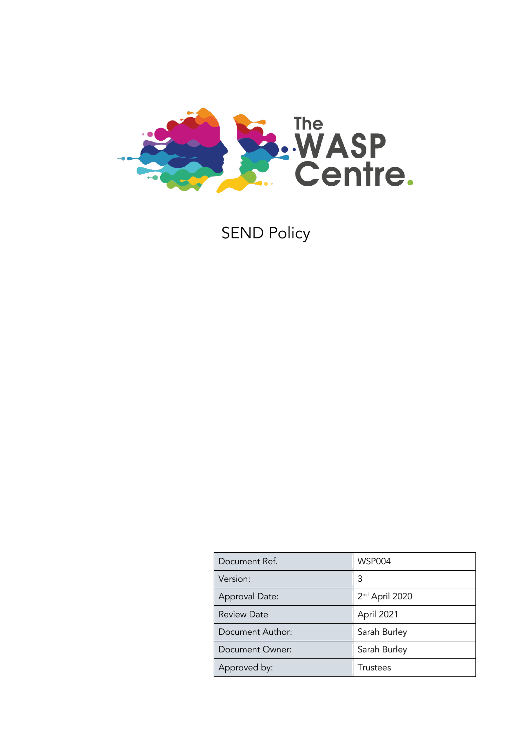

SEND Policy

| Document Ref.      | <b>WSP004</b>              |
|--------------------|----------------------------|
| Version:           | 3                          |
| Approval Date:     | 2 <sup>nd</sup> April 2020 |
| <b>Review Date</b> | April 2021                 |
| Document Author:   | Sarah Burley               |
| Document Owner:    | Sarah Burley               |
| Approved by:       | Trustees                   |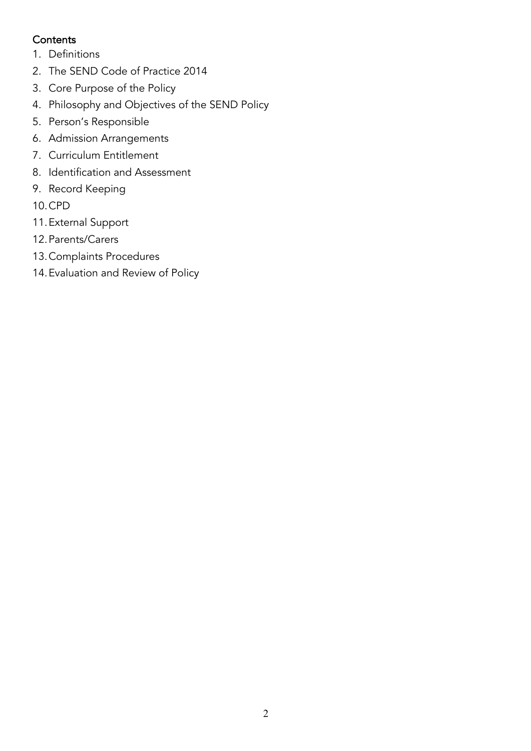# **Contents**

- 1. Definitions
- 2. The SEND Code of Practice 2014
- 3. Core Purpose of the Policy
- 4. Philosophy and Objectives of the SEND Policy
- 5. Person's Responsible
- 6. Admission Arrangements
- 7. Curriculum Entitlement
- 8. Identification and Assessment
- 9. Record Keeping

10.CPD

- 11.External Support
- 12.Parents/Carers
- 13.Complaints Procedures
- 14.Evaluation and Review of Policy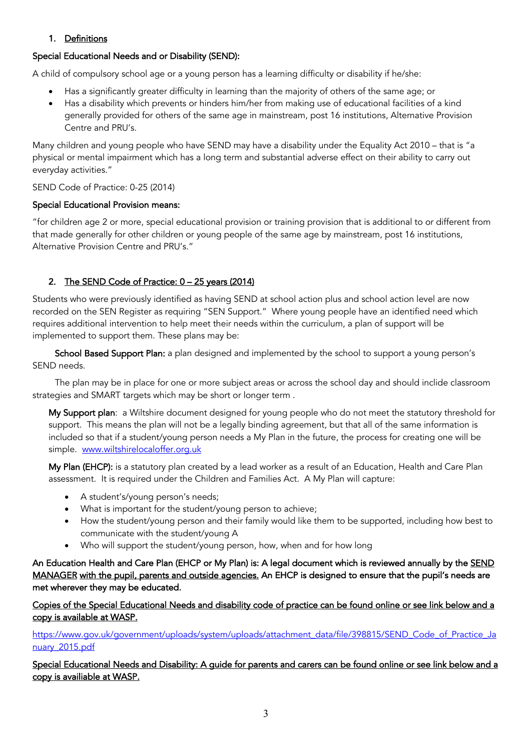## 1. Definitions

## Special Educational Needs and or Disability (SEND):

A child of compulsory school age or a young person has a learning difficulty or disability if he/she:

- Has a significantly greater difficulty in learning than the majority of others of the same age; or
- Has a disability which prevents or hinders him/her from making use of educational facilities of a kind generally provided for others of the same age in mainstream, post 16 institutions, Alternative Provision Centre and PRU's.

Many children and young people who have SEND may have a disability under the Equality Act 2010 – that is "a physical or mental impairment which has a long term and substantial adverse effect on their ability to carry out everyday activities."

## SEND Code of Practice: 0-25 (2014)

## Special Educational Provision means:

"for children age 2 or more, special educational provision or training provision that is additional to or different from that made generally for other children or young people of the same age by mainstream, post 16 institutions, Alternative Provision Centre and PRU's."

# 2. The SEND Code of Practice: 0 - 25 years (2014)

Students who were previously identified as having SEND at school action plus and school action level are now recorded on the SEN Register as requiring "SEN Support." Where young people have an identified need which requires additional intervention to help meet their needs within the curriculum, a plan of support will be implemented to support them. These plans may be:

School Based Support Plan: a plan designed and implemented by the school to support a young person's SEND needs.

 The plan may be in place for one or more subject areas or across the school day and should inclide classroom strategies and SMART targets which may be short or longer term .

My Support plan: a Wiltshire document designed for young people who do not meet the statutory threshold for support. This means the plan will not be a legally binding agreement, but that all of the same information is included so that if a student/young person needs a My Plan in the future, the process for creating one will be simple. www.wiltshirelocaloffer.org.uk

My Plan (EHCP): is a statutory plan created by a lead worker as a result of an Education, Health and Care Plan assessment. It is required under the Children and Families Act. A My Plan will capture:

- A student's/young person's needs;
- What is important for the student/young person to achieve;
- How the student/young person and their family would like them to be supported, including how best to communicate with the student/young A
- Who will support the student/young person, how, when and for how long

An Education Health and Care Plan (EHCP or My Plan) is: A legal document which is reviewed annually by the SEND MANAGER with the pupil, parents and outside agencies. An EHCP is designed to ensure that the pupil's needs are met wherever they may be educated.

Copies of the Special Educational Needs and disability code of practice can be found online or see link below and a copy is available at WASP.

https://www.gov.uk/government/uploads/system/uploads/attachment\_data/file/398815/SEND\_Code\_of\_Practice\_Ja nuary\_2015.pdf

Special Educational Needs and Disability: A guide for parents and carers can be found online or see link below and a copy is availiable at WASP.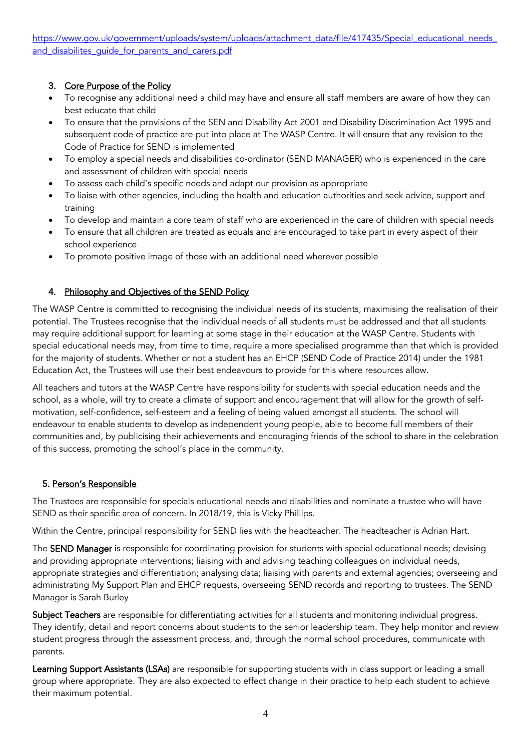https://www.gov.uk/government/uploads/system/uploads/attachment\_data/file/417435/Special\_educational\_needs and disabilites quide for parents and carers.pdf

#### 3. Core Purpose of the Policy

- To recognise any additional need a child may have and ensure all staff members are aware of how they can best educate that child
- To ensure that the provisions of the SEN and Disability Act 2001 and Disability Discrimination Act 1995 and subsequent code of practice are put into place at The WASP Centre. It will ensure that any revision to the Code of Practice for SEND is implemented
- To employ a special needs and disabilities co-ordinator (SEND MANAGER) who is experienced in the care and assessment of children with special needs
- To assess each child's specific needs and adapt our provision as appropriate
- To liaise with other agencies, including the health and education authorities and seek advice, support and training
- To develop and maintain a core team of staff who are experienced in the care of children with special needs
- To ensure that all children are treated as equals and are encouraged to take part in every aspect of their school experience
- To promote positive image of those with an additional need wherever possible

## 4. Philosophy and Objectives of the SEND Policy

The WASP Centre is committed to recognising the individual needs of its students, maximising the realisation of their potential. The Trustees recognise that the individual needs of all students must be addressed and that all students may require additional support for learning at some stage in their education at the WASP Centre. Students with special educational needs may, from time to time, require a more specialised programme than that which is provided for the majority of students. Whether or not a student has an EHCP (SEND Code of Practice 2014) under the 1981 Education Act, the Trustees will use their best endeavours to provide for this where resources allow.

All teachers and tutors at the WASP Centre have responsibility for students with special education needs and the school, as a whole, will try to create a climate of support and encouragement that will allow for the growth of selfmotivation, self-confidence, self-esteem and a feeling of being valued amongst all students. The school will endeavour to enable students to develop as independent young people, able to become full members of their communities and, by publicising their achievements and encouraging friends of the school to share in the celebration of this success, promoting the school's place in the community.

#### 5. Person's Responsible

The Trustees are responsible for specials educational needs and disabilities and nominate a trustee who will have SEND as their specific area of concern. In 2018/19, this is Vicky Phillips.

Within the Centre, principal responsibility for SEND lies with the headteacher. The headteacher is Adrian Hart.

The SEND Manager is responsible for coordinating provision for students with special educational needs; devising and providing appropriate interventions; liaising with and advising teaching colleagues on individual needs, appropriate strategies and differentiation; analysing data; liaising with parents and external agencies; overseeing and administrating My Support Plan and EHCP requests, overseeing SEND records and reporting to trustees. The SEND Manager is Sarah Burley

Subject Teachers are responsible for differentiating activities for all students and monitoring individual progress. They identify, detail and report concerns about students to the senior leadership team. They help monitor and review student progress through the assessment process, and, through the normal school procedures, communicate with parents.

Learning Support Assistants (LSAs) are responsible for supporting students with in class support or leading a small group where appropriate. They are also expected to effect change in their practice to help each student to achieve their maximum potential.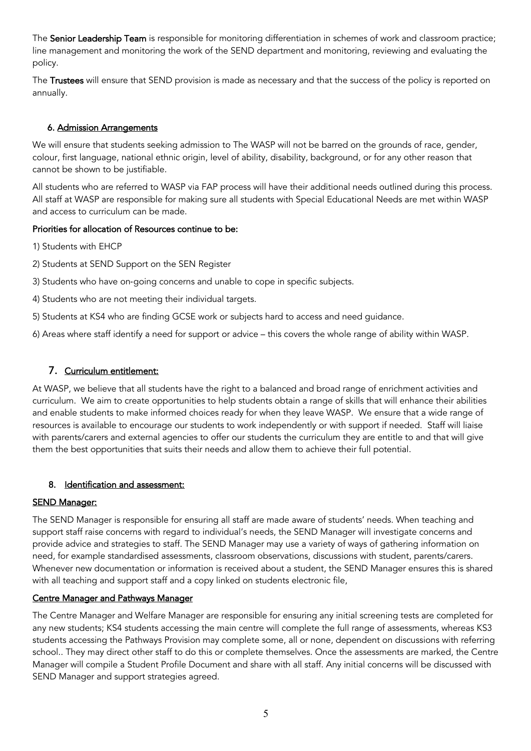The Senior Leadership Team is responsible for monitoring differentiation in schemes of work and classroom practice; line management and monitoring the work of the SEND department and monitoring, reviewing and evaluating the policy.

The Trustees will ensure that SEND provision is made as necessary and that the success of the policy is reported on annually.

#### 6. Admission Arrangements

We will ensure that students seeking admission to The WASP will not be barred on the grounds of race, gender, colour, first language, national ethnic origin, level of ability, disability, background, or for any other reason that cannot be shown to be justifiable.

All students who are referred to WASP via FAP process will have their additional needs outlined during this process. All staff at WASP are responsible for making sure all students with Special Educational Needs are met within WASP and access to curriculum can be made.

#### Priorities for allocation of Resources continue to be:

1) Students with EHCP

- 2) Students at SEND Support on the SEN Register
- 3) Students who have on-going concerns and unable to cope in specific subjects.
- 4) Students who are not meeting their individual targets.
- 5) Students at KS4 who are finding GCSE work or subjects hard to access and need guidance.

6) Areas where staff identify a need for support or advice – this covers the whole range of ability within WASP.

## 7. Curriculum entitlement:

At WASP, we believe that all students have the right to a balanced and broad range of enrichment activities and curriculum. We aim to create opportunities to help students obtain a range of skills that will enhance their abilities and enable students to make informed choices ready for when they leave WASP. We ensure that a wide range of resources is available to encourage our students to work independently or with support if needed. Staff will liaise with parents/carers and external agencies to offer our students the curriculum they are entitle to and that will give them the best opportunities that suits their needs and allow them to achieve their full potential.

#### 8. Identification and assessment:

#### SEND Manager:

The SEND Manager is responsible for ensuring all staff are made aware of students' needs. When teaching and support staff raise concerns with regard to individual's needs, the SEND Manager will investigate concerns and provide advice and strategies to staff. The SEND Manager may use a variety of ways of gathering information on need, for example standardised assessments, classroom observations, discussions with student, parents/carers. Whenever new documentation or information is received about a student, the SEND Manager ensures this is shared with all teaching and support staff and a copy linked on students electronic file,

## Centre Manager and Pathways Manager

The Centre Manager and Welfare Manager are responsible for ensuring any initial screening tests are completed for any new students; KS4 students accessing the main centre will complete the full range of assessments, whereas KS3 students accessing the Pathways Provision may complete some, all or none, dependent on discussions with referring school.. They may direct other staff to do this or complete themselves. Once the assessments are marked, the Centre Manager will compile a Student Profile Document and share with all staff. Any initial concerns will be discussed with SEND Manager and support strategies agreed.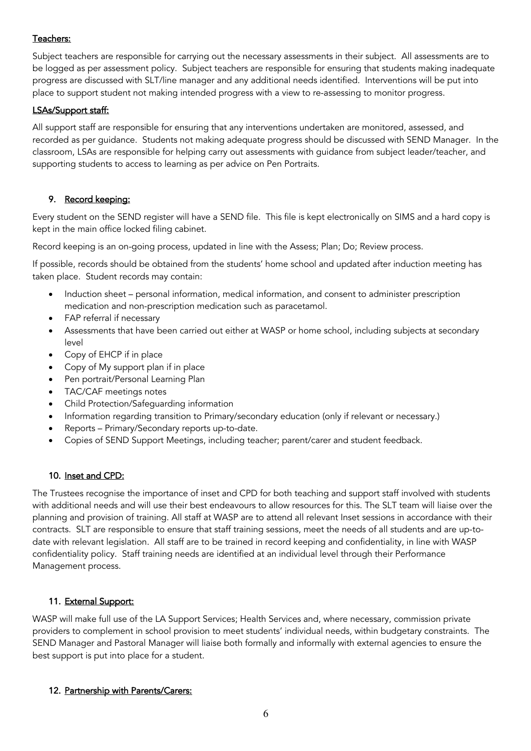## Teachers:

Subject teachers are responsible for carrying out the necessary assessments in their subject. All assessments are to be logged as per assessment policy. Subject teachers are responsible for ensuring that students making inadequate progress are discussed with SLT/line manager and any additional needs identified. Interventions will be put into place to support student not making intended progress with a view to re-assessing to monitor progress.

#### LSAs/Support staff:

All support staff are responsible for ensuring that any interventions undertaken are monitored, assessed, and recorded as per guidance. Students not making adequate progress should be discussed with SEND Manager. In the classroom, LSAs are responsible for helping carry out assessments with guidance from subject leader/teacher, and supporting students to access to learning as per advice on Pen Portraits.

## 9. Record keeping:

Every student on the SEND register will have a SEND file. This file is kept electronically on SIMS and a hard copy is kept in the main office locked filing cabinet.

Record keeping is an on-going process, updated in line with the Assess; Plan; Do; Review process.

If possible, records should be obtained from the students' home school and updated after induction meeting has taken place. Student records may contain:

- Induction sheet personal information, medical information, and consent to administer prescription medication and non-prescription medication such as paracetamol.
- FAP referral if necessary
- Assessments that have been carried out either at WASP or home school, including subjects at secondary level
- Copy of EHCP if in place
- Copy of My support plan if in place
- Pen portrait/Personal Learning Plan
- TAC/CAF meetings notes
- Child Protection/Safeguarding information
- Information regarding transition to Primary/secondary education (only if relevant or necessary.)
- Reports Primary/Secondary reports up-to-date.
- Copies of SEND Support Meetings, including teacher; parent/carer and student feedback.

#### 10. Inset and CPD:

The Trustees recognise the importance of inset and CPD for both teaching and support staff involved with students with additional needs and will use their best endeavours to allow resources for this. The SLT team will liaise over the planning and provision of training. All staff at WASP are to attend all relevant Inset sessions in accordance with their contracts. SLT are responsible to ensure that staff training sessions, meet the needs of all students and are up-todate with relevant legislation. All staff are to be trained in record keeping and confidentiality, in line with WASP confidentiality policy. Staff training needs are identified at an individual level through their Performance Management process.

#### 11. External Support:

WASP will make full use of the LA Support Services; Health Services and, where necessary, commission private providers to complement in school provision to meet students' individual needs, within budgetary constraints. The SEND Manager and Pastoral Manager will liaise both formally and informally with external agencies to ensure the best support is put into place for a student.

#### 12. Partnership with Parents/Carers: